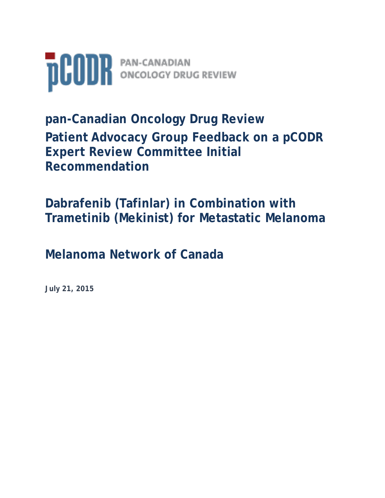

**pan-Canadian Oncology Drug Review Patient Advocacy Group Feedback on a pCODR Expert Review Committee Initial Recommendation** 

**Dabrafenib (Tafinlar) in Combination with Trametinib (Mekinist) for Metastatic Melanoma**

**Melanoma Network of Canada**

**July 21, 2015**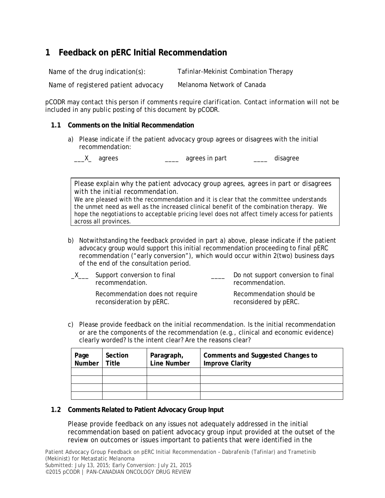## **1 Feedback on pERC Initial Recommendation**

Name of the drug indication(s): Tafinlar-Mekinist Combination Therapy Name of registered patient advocacy Melanoma Network of Canada

*pCODR may contact this person if comments require clarification. Contact information will not be included in any public posting of this document by pCODR.*

#### **1.1 Comments on the Initial Recommendation**

a) Please indicate if the patient advocacy group agrees or disagrees with the initial recommendation:

\_\_\_X\_ agrees \_\_\_\_\_\_ agrees in part \_\_\_\_ disagree

*Please explain why the patient advocacy group agrees, agrees in part or disagrees with the initial recommendation.* 

We are pleased with the recommendation and it is clear that the committee understands the unmet need as well as the increased clinical benefit of the combination therapy. We hope the negotiations to acceptable pricing level does not affect timely access for patients across all provinces.

b) Notwithstanding the feedback provided in part a) above, please indicate if the patient advocacy group would support this initial recommendation proceeding to final pERC recommendation ("early conversion"), which would occur within 2(two) business days of the end of the consultation period.

| $X \equiv$ | Support conversion to final<br>recommendation.              | Do not support conversion to final<br>recommendation. |  |
|------------|-------------------------------------------------------------|-------------------------------------------------------|--|
|            | Recommendation does not require<br>reconsideration by pERC. | Recommendation should be<br>reconsidered by pERC.     |  |

c) Please provide feedback on the initial recommendation. Is the initial recommendation or are the components of the recommendation (e.g., clinical and economic evidence) clearly worded? Is the intent clear? Are the reasons clear?

| Page<br>Number | Section<br>Title | Paragraph,<br>Line Number | Comments and Suggested Changes to<br><b>Improve Clarity</b> |
|----------------|------------------|---------------------------|-------------------------------------------------------------|
|                |                  |                           |                                                             |
|                |                  |                           |                                                             |
|                |                  |                           |                                                             |
|                |                  |                           |                                                             |

#### **1.2 Comments Related to Patient Advocacy Group Input**

Please provide feedback on any issues not adequately addressed in the initial recommendation based on patient advocacy group input provided at the outset of the review on outcomes or issues important to patients that were identified in the

Patient Advocacy Group Feedback on pERC Initial Recommendation – Dabrafenib (Tafinlar) and Trametinib (Mekinist) for Metastatic Melanoma Submitted: July 13, 2015; Early Conversion: July 21, 2015

©2015 pCODR | PAN-CANADIAN ONCOLOGY DRUG REVIEW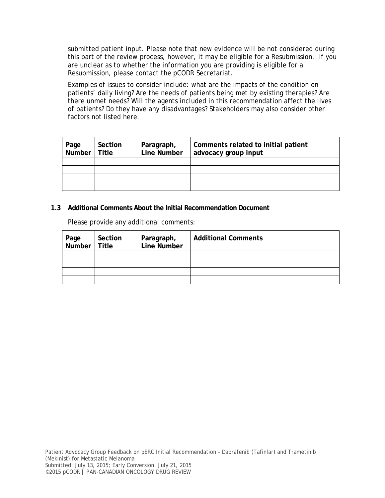submitted patient input. Please note that new evidence will be not considered during this part of the review process, however, it may be eligible for a Resubmission. If you are unclear as to whether the information you are providing is eligible for a Resubmission, please contact the pCODR Secretariat.

Examples of issues to consider include: what are the impacts of the condition on patients' daily living? Are the needs of patients being met by existing therapies? Are there unmet needs? Will the agents included in this recommendation affect the lives of patients? Do they have any disadvantages? Stakeholders may also consider other factors not listed here.

| Page<br>Number | Section<br><b>Title</b> | Paragraph,<br>Line Number | Comments related to initial patient<br>advocacy group input |
|----------------|-------------------------|---------------------------|-------------------------------------------------------------|
|                |                         |                           |                                                             |
|                |                         |                           |                                                             |
|                |                         |                           |                                                             |
|                |                         |                           |                                                             |

#### **1.3 Additional Comments About the Initial Recommendation Document**

Please provide any additional comments:

| Page   Section<br>Number   Title | Section | Paragraph,<br>Line Number | <b>Additional Comments</b> |
|----------------------------------|---------|---------------------------|----------------------------|
|                                  |         |                           |                            |
|                                  |         |                           |                            |
|                                  |         |                           |                            |
|                                  |         |                           |                            |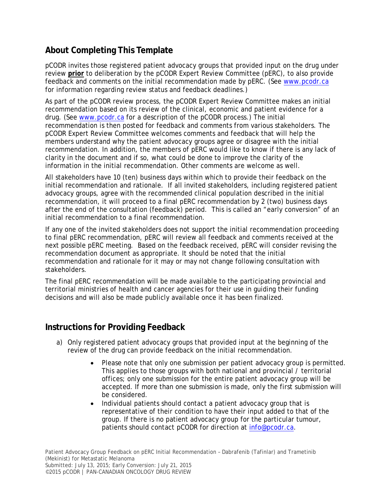# **About Completing This Template**

pCODR invites those registered patient advocacy groups that provided input on the drug under review **prior** to deliberation by the pCODR Expert Review Committee (pERC), to also provide feedback and comments on the initial recommendation made by pERC. (See www.pcodr.ca for information regarding review status and feedback deadlines.)

As part of the pCODR review process, the pCODR Expert Review Committee makes an initial recommendation based on its review of the clinical, economic and patient evidence for a drug. (See www.pcodr.ca for a description of the pCODR process.) The initial recommendation is then posted for feedback and comments from various stakeholders. The pCODR Expert Review Committee welcomes comments and feedback that will help the members understand why the patient advocacy groups agree or disagree with the initial recommendation. In addition, the members of pERC would like to know if there is any lack of clarity in the document and if so, what could be done to improve the clarity of the information in the initial recommendation. Other comments are welcome as well.

All stakeholders have 10 (ten) business days within which to provide their feedback on the initial recommendation and rationale. If all invited stakeholders, including registered patient advocacy groups, agree with the recommended clinical population described in the initial recommendation, it will proceed to a final pERC recommendation by 2 (two) business days after the end of the consultation (feedback) period. This is called an "early conversion" of an initial recommendation to a final recommendation.

If any one of the invited stakeholders does not support the initial recommendation proceeding to final pERC recommendation, pERC will review all feedback and comments received at the next possible pERC meeting. Based on the feedback received, pERC will consider revising the recommendation document as appropriate. It should be noted that the initial recommendation and rationale for it may or may not change following consultation with stakeholders.

The final pERC recommendation will be made available to the participating provincial and territorial ministries of health and cancer agencies for their use in guiding their funding decisions and will also be made publicly available once it has been finalized.

### **Instructions for Providing Feedback**

- a) Only registered patient advocacy groups that provided input at the beginning of the review of the drug can provide feedback on the initial recommendation.
	- Please note that only one submission per patient advocacy group is permitted. This applies to those groups with both national and provincial / territorial offices; only one submission for the entire patient advocacy group will be accepted. If more than one submission is made, only the first submission will be considered.
	- Individual patients should contact a patient advocacy group that is representative of their condition to have their input added to that of the group. If there is no patient advocacy group for the particular tumour, patients should contact pCODR for direction at info@pcodr.ca.